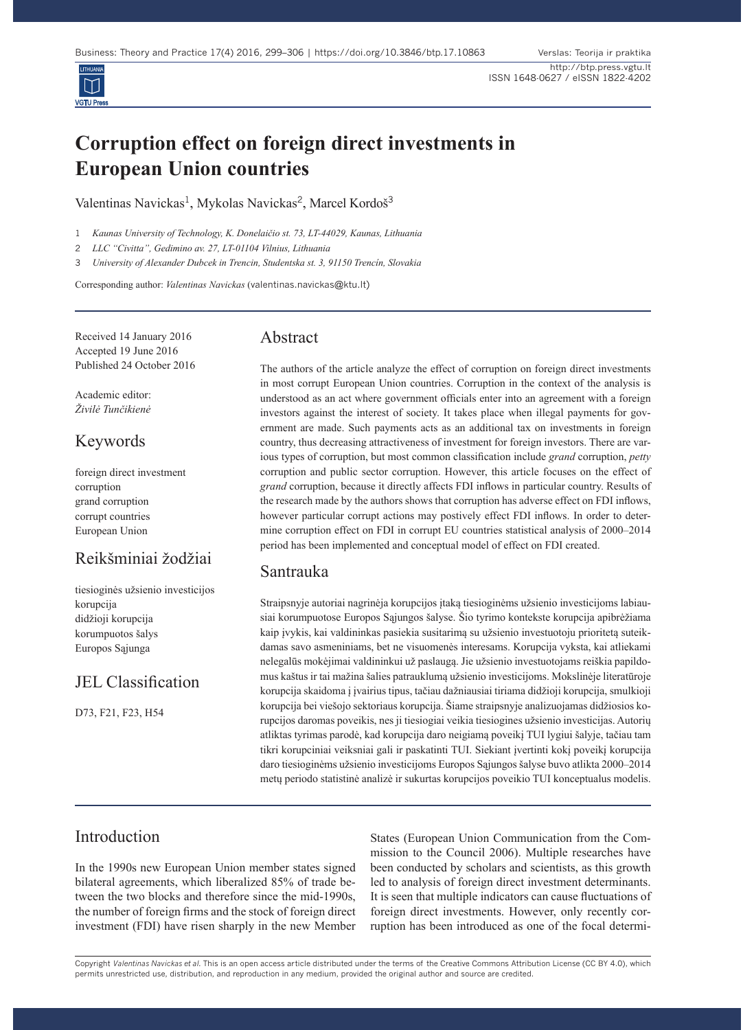

# **Corruption effect on foreign direct investments in European Union countries**

Valentinas Navickas<sup>1</sup>, Mykolas Navickas<sup>2</sup>, Marcel Kordoš<sup>3</sup>

1 *Kaunas University of Technology, K. Donelaičio st. 73, LT-44029, Kaunas, Lithuania*

2 *LLC "Civitta", Gedimino av. 27, LT-01104 Vilnius, Lithuania*

3 *University of Alexander Dubcek in Trencin, Studentska st. 3, 91150 Trencín, Slovakia*

Corresponding author: *Valentinas Navickas* (valentinas.navickas@ktu.lt)

Received 14 January 2016 Accepted 19 June 2016 Published 24 October 2016

Academic editor: *Živilė Tunčikienė*

# Keywords

foreign direct investment corruption grand corruption corrupt countries European Union

# Reikšminiai žodžiai

tiesioginės užsienio investicijos korupcija didžioji korupcija korumpuotos šalys Europos Sąjunga

# JEL Classification

D73, F21, F23, H54

### Abstract

The authors of the article analyze the effect of corruption on foreign direct investments in most corrupt European Union countries. Corruption in the context of the analysis is understood as an act where government officials enter into an agreement with a foreign investors against the interest of society. It takes place when illegal payments for government are made. Such payments acts as an additional tax on investments in foreign country, thus decreasing attractiveness of investment for foreign investors. There are various types of corruption, but most common classification include *grand* corruption, *petty*  corruption and public sector corruption. However, this article focuses on the effect of *grand* corruption, because it directly affects FDI inflows in particular country. Results of the research made by the authors shows that corruption has adverse effect on FDI inflows, however particular corrupt actions may postively effect FDI inflows. In order to determine corruption effect on FDI in corrupt EU countries statistical analysis of 2000–2014 period has been implemented and conceptual model of effect on FDI created.

# Santrauka

Straipsnyje autoriai nagrinėja korupcijos įtaką tiesioginėms užsienio investicijoms labiausiai korumpuotose Europos Sąjungos šalyse. Šio tyrimo kontekste korupcija apibrėžiama kaip įvykis, kai valdininkas pasiekia susitarimą su užsienio investuotoju prioritetą suteikdamas savo asmeniniams, bet ne visuomenės interesams. Korupcija vyksta, kai atliekami nelegalūs mokėjimai valdininkui už paslaugą. Jie užsienio investuotojams reiškia papildomus kaštus ir tai mažina šalies patrauklumą užsienio investicijoms. Mokslinėje literatūroje korupcija skaidoma į įvairius tipus, tačiau dažniausiai tiriama didžioji korupcija, smulkioji korupcija bei viešojo sektoriaus korupcija. Šiame straipsnyje analizuojamas didžiosios korupcijos daromas poveikis, nes ji tiesiogiai veikia tiesiogines užsienio investicijas. Autorių atliktas tyrimas parodė, kad korupcija daro neigiamą poveikį TUI lygiui šalyje, tačiau tam tikri korupciniai veiksniai gali ir paskatinti TUI. Siekiant įvertinti kokį poveikį korupcija daro tiesioginėms užsienio investicijoms Europos Sąjungos šalyse buvo atlikta 2000–2014 metų periodo statistinė analizė ir sukurtas korupcijos poveikio TUI konceptualus modelis.

# Introduction

In the 1990s new European Union member states signed bilateral agreements, which liberalized 85% of trade between the two blocks and therefore since the mid-1990s, the number of foreign firms and the stock of foreign direct investment (FDI) have risen sharply in the new Member States (European Union Communication from the Commission to the Council 2006). Multiple researches have been conducted by scholars and scientists, as this growth led to analysis of foreign direct investment determinants. It is seen that multiple indicators can cause fluctuations of foreign direct investments. However, only recently corruption has been introduced as one of the focal determi-

Copyright *Valentinas Navickas et al.* This is an open access article distributed under the terms of the Creative Commons Attribution License (CC BY 4.0), which permits unrestricted use, distribution, and reproduction in any medium, provided the original author and source are credited.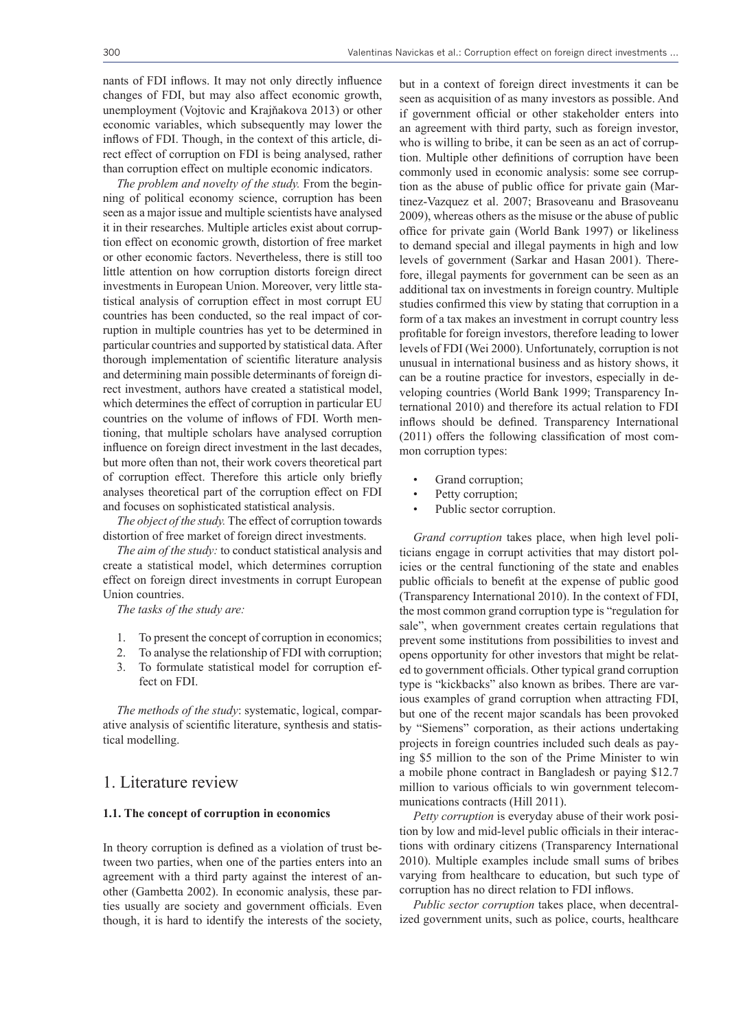nants of FDI inflows. It may not only directly influence changes of FDI, but may also affect economic growth, unemployment (Vojtovic and Krajňakova 2013) or other economic variables, which subsequently may lower the inflows of FDI. Though, in the context of this article, direct effect of corruption on FDI is being analysed, rather than corruption effect on multiple economic indicators.

*The problem and novelty of the study.* From the beginning of political economy science, corruption has been seen as a major issue and multiple scientists have analysed it in their researches. Multiple articles exist about corruption effect on economic growth, distortion of free market or other economic factors. Nevertheless, there is still too little attention on how corruption distorts foreign direct investments in European Union. Moreover, very little statistical analysis of corruption effect in most corrupt EU countries has been conducted, so the real impact of corruption in multiple countries has yet to be determined in particular countries and supported by statistical data. After thorough implementation of scientific literature analysis and determining main possible determinants of foreign direct investment, authors have created a statistical model, which determines the effect of corruption in particular EU countries on the volume of inflows of FDI. Worth mentioning, that multiple scholars have analysed corruption influence on foreign direct investment in the last decades, but more often than not, their work covers theoretical part of corruption effect. Therefore this article only briefly analyses theoretical part of the corruption effect on FDI and focuses on sophisticated statistical analysis.

*The object of the study.* The effect of corruption towards distortion of free market of foreign direct investments.

*The aim of the study:* to conduct statistical analysis and create a statistical model, which determines corruption effect on foreign direct investments in corrupt European Union countries.

*The tasks of the study are:*

- 1. To present the concept of corruption in economics;
- 2. To analyse the relationship of FDI with corruption;
- 3. To formulate statistical model for corruption effect on FDI.

*The methods of the study*: systematic, logical, comparative analysis of scientific literature, synthesis and statistical modelling.

### 1. Literature review

#### **1.1. The concept of corruption in economics**

In theory corruption is defined as a violation of trust between two parties, when one of the parties enters into an agreement with a third party against the interest of another (Gambetta 2002). In economic analysis, these parties usually are society and government officials. Even though, it is hard to identify the interests of the society, but in a context of foreign direct investments it can be seen as acquisition of as many investors as possible. And if government official or other stakeholder enters into an agreement with third party, such as foreign investor, who is willing to bribe, it can be seen as an act of corruption. Multiple other definitions of corruption have been commonly used in economic analysis: some see corruption as the abuse of public office for private gain (Martinez-Vazquez et al. 2007; Brasoveanu and Brasoveanu 2009), whereas others as the misuse or the abuse of public office for private gain (World Bank 1997) or likeliness to demand special and illegal payments in high and low levels of government (Sarkar and Hasan 2001). Therefore, illegal payments for government can be seen as an additional tax on investments in foreign country. Multiple studies confirmed this view by stating that corruption in a form of a tax makes an investment in corrupt country less profitable for foreign investors, therefore leading to lower levels of FDI (Wei 2000). Unfortunately, corruption is not unusual in international business and as history shows, it can be a routine practice for investors, especially in developing countries (World Bank 1999; Transparency International 2010) and therefore its actual relation to FDI inflows should be defined. Transparency International (2011) offers the following classification of most common corruption types:

- Grand corruption;
- Petty corruption:
- Public sector corruption.

*Grand corruption* takes place, when high level politicians engage in corrupt activities that may distort policies or the central functioning of the state and enables public officials to benefit at the expense of public good (Transparency International 2010). In the context of FDI, the most common grand corruption type is "regulation for sale", when government creates certain regulations that prevent some institutions from possibilities to invest and opens opportunity for other investors that might be related to government officials. Other typical grand corruption type is "kickbacks" also known as bribes. There are various examples of grand corruption when attracting FDI, but one of the recent major scandals has been provoked by "Siemens" corporation, as their actions undertaking projects in foreign countries included such deals as paying \$5 million to the son of the Prime Minister to win a mobile phone contract in Bangladesh or paying \$12.7 million to various officials to win government telecommunications contracts (Hill 2011).

*Petty corruption* is everyday abuse of their work position by low and mid-level public officials in their interactions with ordinary citizens (Transparency International 2010). Multiple examples include small sums of bribes varying from healthcare to education, but such type of corruption has no direct relation to FDI inflows.

*Public sector corruption* takes place, when decentralized government units, such as police, courts, healthcare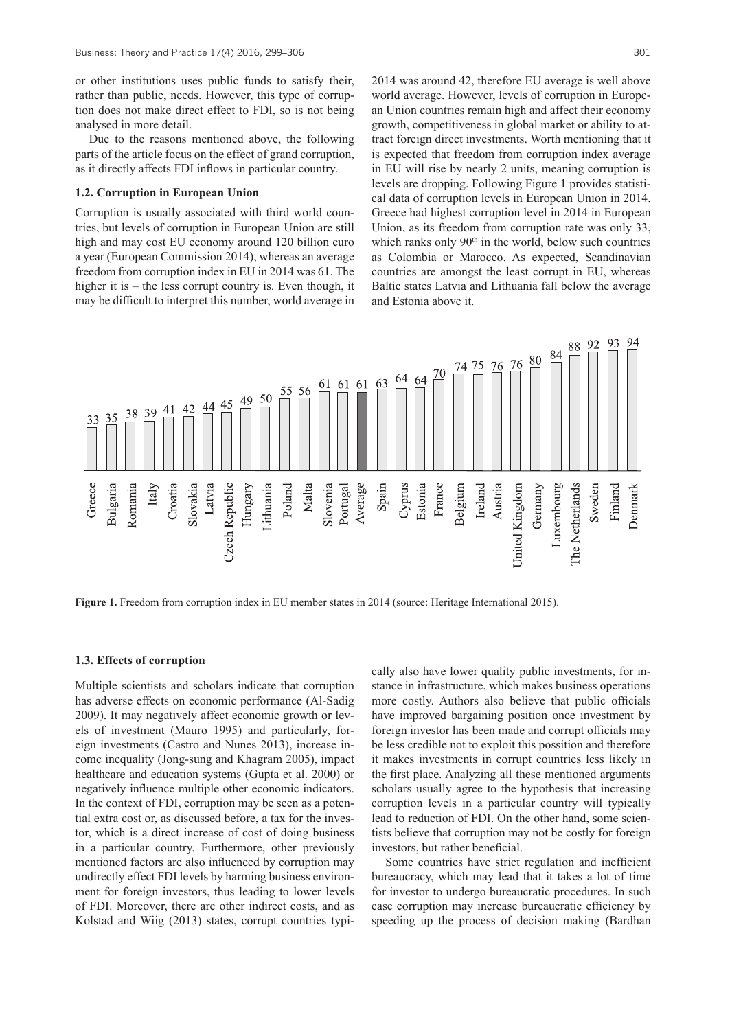301

or other institutions uses public funds to satisfy their, rather than public, needs. However, this type of corruption does not make direct effect to FDI, so is not being analysed in more detail.

Due to the reasons mentioned above, the following parts of the article focus on the effect of grand corruption, as it directly affects FDI inflows in particular country.

#### **1.2. Corruption in European Union**

Corruption is usually associated with third world countries, but levels of corruption in European Union are still high and may cost EU economy around 120 billion euro a year (European Commission 2014), whereas an average freedom from corruption index in EU in 2014 was 61. The higher it is – the less corrupt country is. Even though, it may be difficult to interpret this number, world average in

2014 was around 42, therefore EU average is well above world average. However, levels of corruption in European Union countries remain high and affect their economy growth, competitiveness in global market or ability to attract foreign direct investments. Worth mentioning that it is expected that freedom from corruption index average in EU will rise by nearly 2 units, meaning corruption is levels are dropping. Following Figure 1 provides statistical data of corruption levels in European Union in 2014. Greece had highest corruption level in 2014 in European Union, as its freedom from corruption rate was only 33, which ranks only  $90<sup>th</sup>$  in the world, below such countries as Colombia or Marocco. As expected, Scandinavian countries are amongst the least corrupt in EU, whereas Baltic states Latvia and Lithuania fall below the average and Estonia above it.



Figure 1. Freedom from corruption index in EU member states in 2014 (source: Heritage International 2015).

#### **1.3. Effects of corruption**

Multiple scientists and scholars indicate that corruption has adverse effects on economic performance (Al-Sadig 2009). It may negatively affect economic growth or levels of investment (Mauro 1995) and particularly, foreign investments (Castro and Nunes 2013), increase income inequality (Jong-sung and Khagram 2005), impact healthcare and education systems (Gupta et al. 2000) or negatively influence multiple other economic indicators. In the context of FDI, corruption may be seen as a potential extra cost or, as discussed before, a tax for the investor, which is a direct increase of cost of doing business in a particular country. Furthermore, other previously mentioned factors are also influenced by corruption may undirectly effect FDI levels by harming business environment for foreign investors, thus leading to lower levels of FDI. Moreover, there are other indirect costs, and as Kolstad and Wiig (2013) states, corrupt countries typically also have lower quality public investments, for instance in infrastructure, which makes business operations more costly. Authors also believe that public officials have improved bargaining position once investment by foreign investor has been made and corrupt officials may be less credible not to exploit this possition and therefore it makes investments in corrupt countries less likely in the first place. Analyzing all these mentioned arguments scholars usually agree to the hypothesis that increasing corruption levels in a particular country will typically lead to reduction of FDI. On the other hand, some scientists believe that corruption may not be costly for foreign investors, but rather beneficial.

Some countries have strict regulation and inefficient bureaucracy, which may lead that it takes a lot of time for investor to undergo bureaucratic procedures. In such case corruption may increase bureaucratic efficiency by speeding up the process of decision making (Bardhan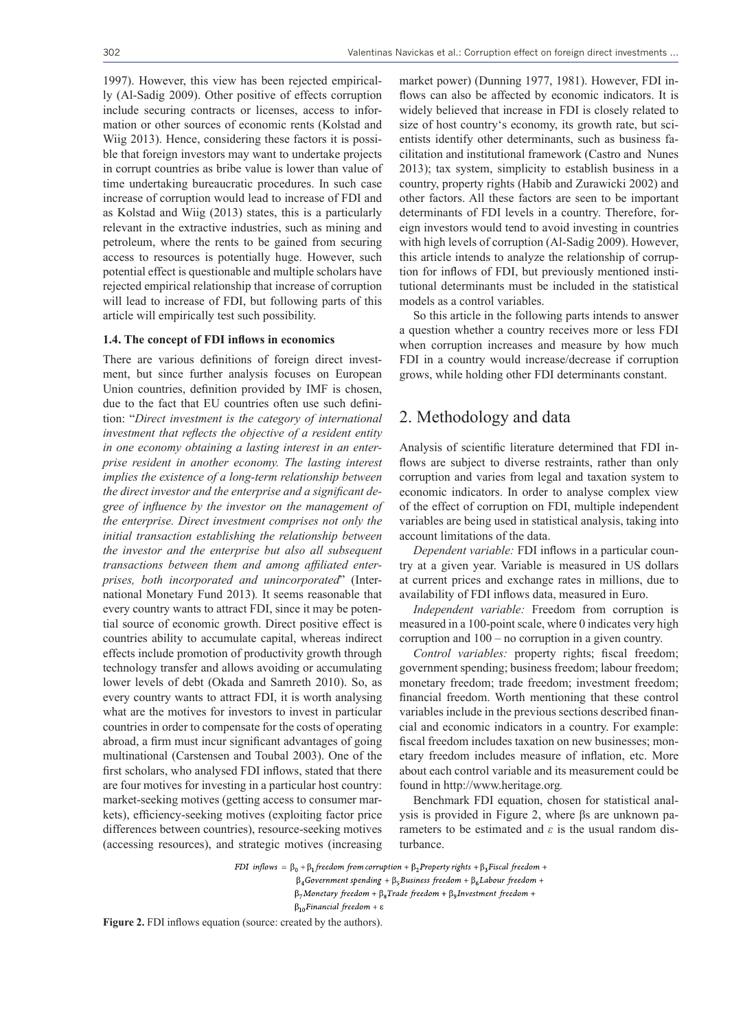1997). However, this view has been rejected empirically (Al-Sadig 2009). Other positive of effects corruption include securing contracts or licenses, access to information or other sources of economic rents (Kolstad and Wiig 2013). Hence, considering these factors it is possible that foreign investors may want to undertake projects in corrupt countries as bribe value is lower than value of time undertaking bureaucratic procedures. In such case increase of corruption would lead to increase of FDI and as Kolstad and Wiig (2013) states, this is a particularly relevant in the extractive industries, such as mining and petroleum, where the rents to be gained from securing access to resources is potentially huge. However, such potential effect is questionable and multiple scholars have rejected empirical relationship that increase of corruption will lead to increase of FDI, but following parts of this article will empirically test such possibility.

#### **1.4. The concept of FDI inflows in economics**

There are various definitions of foreign direct investment, but since further analysis focuses on European Union countries, definition provided by IMF is chosen, due to the fact that EU countries often use such definition: "*Direct investment is the category of international investment that reflects the objective of a resident entity in one economy obtaining a lasting interest in an enterprise resident in another economy. The lasting interest implies the existence of a long-term relationship between the direct investor and the enterprise and a significant degree of influence by the investor on the management of the enterprise. Direct investment comprises not only the initial transaction establishing the relationship between the investor and the enterprise but also all subsequent transactions between them and among affiliated enterprises, both incorporated and unincorporated*" (International Monetary Fund 2013)*.* It seems reasonable that every country wants to attract FDI, since it may be potential source of economic growth. Direct positive effect is countries ability to accumulate capital, whereas indirect effects include promotion of productivity growth through technology transfer and allows avoiding or accumulating lower levels of debt (Okada and Samreth 2010). So, as every country wants to attract FDI, it is worth analysing what are the motives for investors to invest in particular countries in order to compensate for the costs of operating abroad, a firm must incur significant advantages of going multinational (Carstensen and Toubal 2003). One of the first scholars, who analysed FDI inflows, stated that there are four motives for investing in a particular host country: market-seeking motives (getting access to consumer markets), efficiency-seeking motives (exploiting factor price differences between countries), resource-seeking motives (accessing resources), and strategic motives (increasing

market power) (Dunning 1977, 1981). However, FDI inflows can also be affected by economic indicators. It is widely believed that increase in FDI is closely related to size of host country's economy, its growth rate, but scientists identify other determinants, such as business facilitation and institutional framework (Castro and Nunes 2013); tax system, simplicity to establish business in a country, property rights (Habib and Zurawicki 2002) and other factors. All these factors are seen to be important determinants of FDI levels in a country. Therefore, foreign investors would tend to avoid investing in countries with high levels of corruption (Al-Sadig 2009). However, this article intends to analyze the relationship of corruption for inflows of FDI, but previously mentioned institutional determinants must be included in the statistical models as a control variables.

So this article in the following parts intends to answer a question whether a country receives more or less FDI when corruption increases and measure by how much FDI in a country would increase/decrease if corruption grows, while holding other FDI determinants constant.

### 2. Methodology and data

Analysis of scientific literature determined that FDI inflows are subject to diverse restraints, rather than only corruption and varies from legal and taxation system to economic indicators. In order to analyse complex view of the effect of corruption on FDI, multiple independent variables are being used in statistical analysis, taking into account limitations of the data.

*Dependent variable:* FDI inflows in a particular country at a given year. Variable is measured in US dollars at current prices and exchange rates in millions, due to availability of FDI inflows data, measured in Euro.

*Independent variable:* Freedom from corruption is measured in a 100-point scale, where 0 indicates very high corruption and 100 – no corruption in a given country.

*Control variables:* property rights; fiscal freedom; government spending; business freedom; labour freedom; monetary freedom; trade freedom; investment freedom; financial freedom. Worth mentioning that these control variables include in the previous sections described financial and economic indicators in a country. For example: fiscal freedom includes taxation on new businesses; monetary freedom includes measure of inflation, etc. More about each control variable and its measurement could be found in http://www.heritage.org*.*

Benchmark FDI equation, chosen for statistical analysis is provided in Figure 2, where βs are unknown parameters to be estimated and *ε* is the usual random disturbance.

FDI inflows =  $\beta_0 + \beta_1$  freedom from corruption +  $\beta_2$ Property rights +  $\beta_3$ Fiscal freedom +

 $\beta_4$ Government spending +  $\beta_5$ Business freedom +  $\beta_6$ Labour freedom +

 $\beta_7$ Monetary freedom +  $\beta_8$ Trade freedom +  $\beta_9$ Investment freedom +

 $\beta_{10}$ Financial freedom +  $\varepsilon$ 

**Figure 2.** FDI inflows equation (source: created by the authors).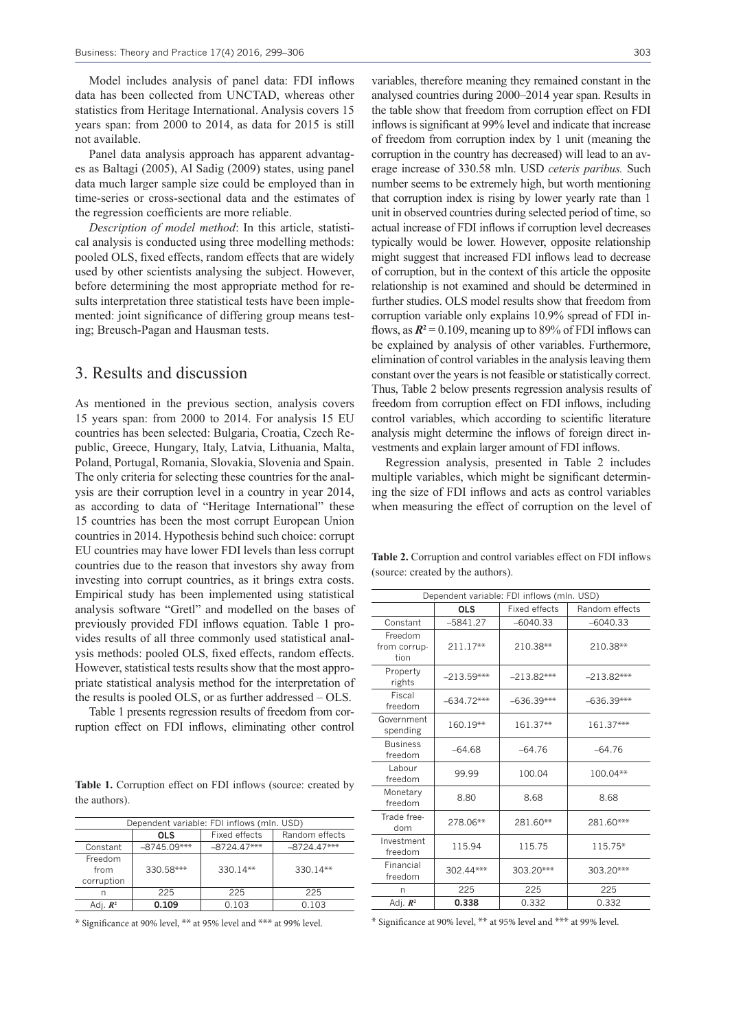Model includes analysis of panel data: FDI inflows data has been collected from UNCTAD, whereas other statistics from Heritage International. Analysis covers 15 years span: from 2000 to 2014, as data for 2015 is still not available.

Panel data analysis approach has apparent advantages as Baltagi (2005), Al Sadig (2009) states, using panel data much larger sample size could be employed than in time-series or cross-sectional data and the estimates of the regression coefficients are more reliable.

*Description of model method*: In this article, statistical analysis is conducted using three modelling methods: pooled OLS, fixed effects, random effects that are widely used by other scientists analysing the subject. However, before determining the most appropriate method for results interpretation three statistical tests have been implemented: joint significance of differing group means testing; Breusch-Pagan and Hausman tests.

### 3. Results and discussion

As mentioned in the previous section, analysis covers 15 years span: from 2000 to 2014. For analysis 15 EU countries has been selected: Bulgaria, Croatia, Czech Republic, Greece, Hungary, Italy, Latvia, Lithuania, Malta, Poland, Portugal, Romania, Slovakia, Slovenia and Spain. The only criteria for selecting these countries for the analysis are their corruption level in a country in year 2014, as according to data of "Heritage International" these 15 countries has been the most corrupt European Union countries in 2014. Hypothesis behind such choice: corrupt EU countries may have lower FDI levels than less corrupt countries due to the reason that investors shy away from investing into corrupt countries, as it brings extra costs. Empirical study has been implemented using statistical analysis software "Gretl" and modelled on the bases of previously provided FDI inflows equation. Table 1 provides results of all three commonly used statistical analysis methods: pooled OLS, fixed effects, random effects. However, statistical tests results show that the most appropriate statistical analysis method for the interpretation of the results is pooled OLS, or as further addressed – OLS.

Table 1 presents regression results of freedom from corruption effect on FDI inflows, eliminating other control

**Table 1.** Corruption effect on FDI inflows (source: created by the authors).

| Dependent variable: FDI inflows (mln. USD) |               |               |                |  |
|--------------------------------------------|---------------|---------------|----------------|--|
|                                            | <b>OLS</b>    | Fixed effects | Random effects |  |
| Constant                                   | $-8745.09***$ | $-8724.47***$ | $-8724.47***$  |  |
| Freedom<br>from<br>corruption              | 330.58***     | $330.14**$    | $330.14**$     |  |
| n                                          | 225           | 225           | 225            |  |
| Adi. $\mathbb{R}^2$                        | 0.109         | 0.103         | 0.103          |  |

\* Significance at 90% level, \*\* at 95% level and \*\*\* at 99% level.

variables, therefore meaning they remained constant in the analysed countries during 2000–2014 year span. Results in the table show that freedom from corruption effect on FDI inflows is significant at 99% level and indicate that increase of freedom from corruption index by 1 unit (meaning the corruption in the country has decreased) will lead to an average increase of 330.58 mln. USD *ceteris paribus.* Such number seems to be extremely high, but worth mentioning that corruption index is rising by lower yearly rate than 1 unit in observed countries during selected period of time, so actual increase of FDI inflows if corruption level decreases typically would be lower. However, opposite relationship might suggest that increased FDI inflows lead to decrease of corruption, but in the context of this article the opposite relationship is not examined and should be determined in further studies. OLS model results show that freedom from corruption variable only explains 10.9% spread of FDI inflows, as  $R^2 = 0.109$ , meaning up to 89% of FDI inflows can be explained by analysis of other variables. Furthermore, elimination of control variables in the analysis leaving them constant over the years is not feasible or statistically correct. Thus, Table 2 below presents regression analysis results of freedom from corruption effect on FDI inflows, including control variables, which according to scientific literature analysis might determine the inflows of foreign direct investments and explain larger amount of FDI inflows.

Regression analysis, presented in Table 2 includes multiple variables, which might be significant determining the size of FDI inflows and acts as control variables when measuring the effect of corruption on the level of

**Table 2.** Corruption and control variables effect on FDI inflows (source: created by the authors).

| Dependent variable: FDI inflows (mln. USD) |              |                      |                |  |
|--------------------------------------------|--------------|----------------------|----------------|--|
|                                            | <b>OLS</b>   | <b>Fixed effects</b> | Random effects |  |
| Constant                                   | $-5841.27$   | $-6040.33$           | $-6040.33$     |  |
| Freedom<br>from corrup-<br>tion            | 211.17**     | 210.38**             | 210.38**       |  |
| Property<br>rights                         | $-213.59***$ | $-213.82***$         | $-213.82***$   |  |
| Fiscal<br>freedom                          | $-634.72***$ | $-636.39***$         | $-636.39***$   |  |
| Government<br>spending                     | $160.19**$   | 161.37**             | 161.37***      |  |
| <b>Business</b><br>freedom                 | $-64.68$     | $-64.76$             | $-64.76$       |  |
| Labour<br>freedom                          | 99.99        | 100.04               | 100.04**       |  |
| Monetary<br>freedom                        | 8.80         | 8.68                 | 8.68           |  |
| Trade free-<br>dom                         | 278.06**     | 281.60**             | 281.60***      |  |
| Investment<br>freedom                      | 115.94       | 115.75               | 115.75*        |  |
| Financial<br>freedom                       | 302.44***    | 303.20***            | 303.20***      |  |
| n                                          | 225          | 225                  | 225            |  |
| Adj. $\mathbb{R}^2$                        | 0.338        | 0.332                | 0.332          |  |

\* Significance at 90% level, \*\* at 95% level and \*\*\* at 99% level.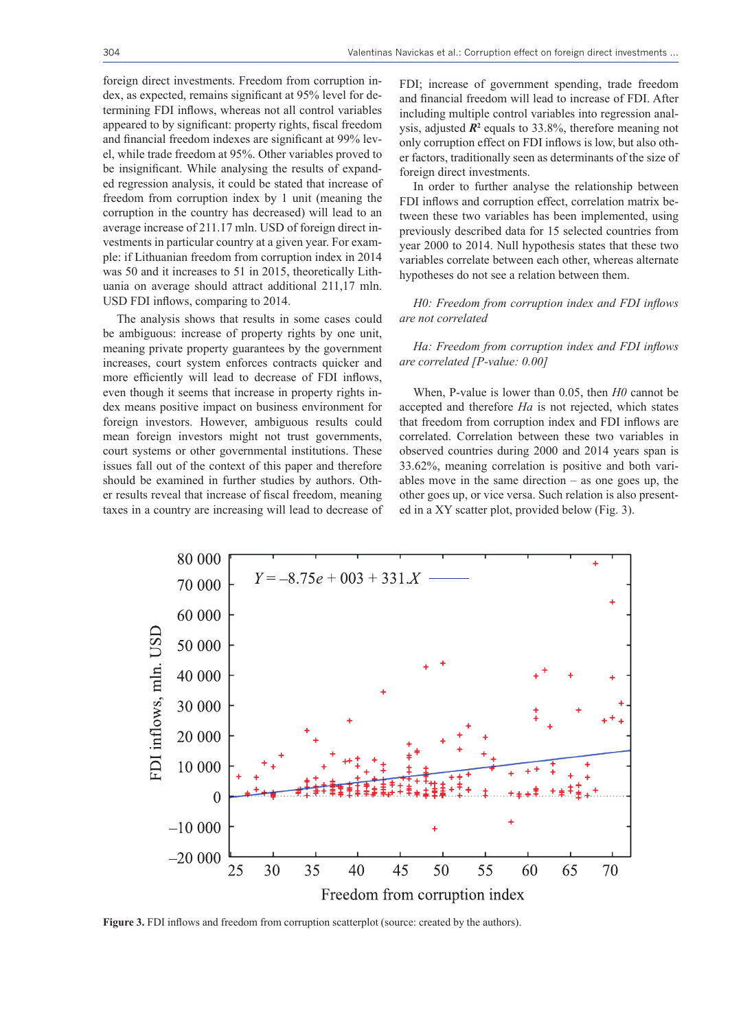foreign direct investments. Freedom from corruption index, as expected, remains significant at 95% level for determining FDI inflows, whereas not all control variables appeared to by significant: property rights, fiscal freedom and financial freedom indexes are significant at 99% level, while trade freedom at 95%. Other variables proved to be insignificant. While analysing the results of expanded regression analysis, it could be stated that increase of freedom from corruption index by 1 unit (meaning the corruption in the country has decreased) will lead to an average increase of 211.17 mln. USD of foreign direct investments in particular country at a given year. For example: if Lithuanian freedom from corruption index in 2014 was 50 and it increases to 51 in 2015, theoretically Lithuania on average should attract additional 211,17 mln. USD FDI inflows, comparing to 2014.

The analysis shows that results in some cases could be ambiguous: increase of property rights by one unit, meaning private property guarantees by the government increases, court system enforces contracts quicker and more efficiently will lead to decrease of FDI inflows, even though it seems that increase in property rights index means positive impact on business environment for foreign investors. However, ambiguous results could mean foreign investors might not trust governments, court systems or other governmental institutions. These issues fall out of the context of this paper and therefore should be examined in further studies by authors. Other results reveal that increase of fiscal freedom, meaning taxes in a country are increasing will lead to decrease of FDI; increase of government spending, trade freedom and financial freedom will lead to increase of FDI. After including multiple control variables into regression analysis, adjusted  $\mathbb{R}^2$  equals to 33.8%, therefore meaning not only corruption effect on FDI inflows is low, but also other factors, traditionally seen as determinants of the size of foreign direct investments.

In order to further analyse the relationship between FDI inflows and corruption effect, correlation matrix between these two variables has been implemented, using previously described data for 15 selected countries from year 2000 to 2014. Null hypothesis states that these two variables correlate between each other, whereas alternate hypotheses do not see a relation between them.

*H0: Freedom from corruption index and FDI inflows are not correlated*

#### *Ha: Freedom from corruption index and FDI inflows are correlated [P-value: 0.00]*

When, P-value is lower than 0.05, then *H0* cannot be accepted and therefore *Ha* is not rejected, which states that freedom from corruption index and FDI inflows are correlated. Correlation between these two variables in observed countries during 2000 and 2014 years span is 33.62%, meaning correlation is positive and both variables move in the same direction – as one goes up, the other goes up, or vice versa. Such relation is also presented in a XY scatter plot, provided below (Fig. 3).



**Figure 3.** FDI inflows and freedom from corruption scatterplot (source: created by the authors).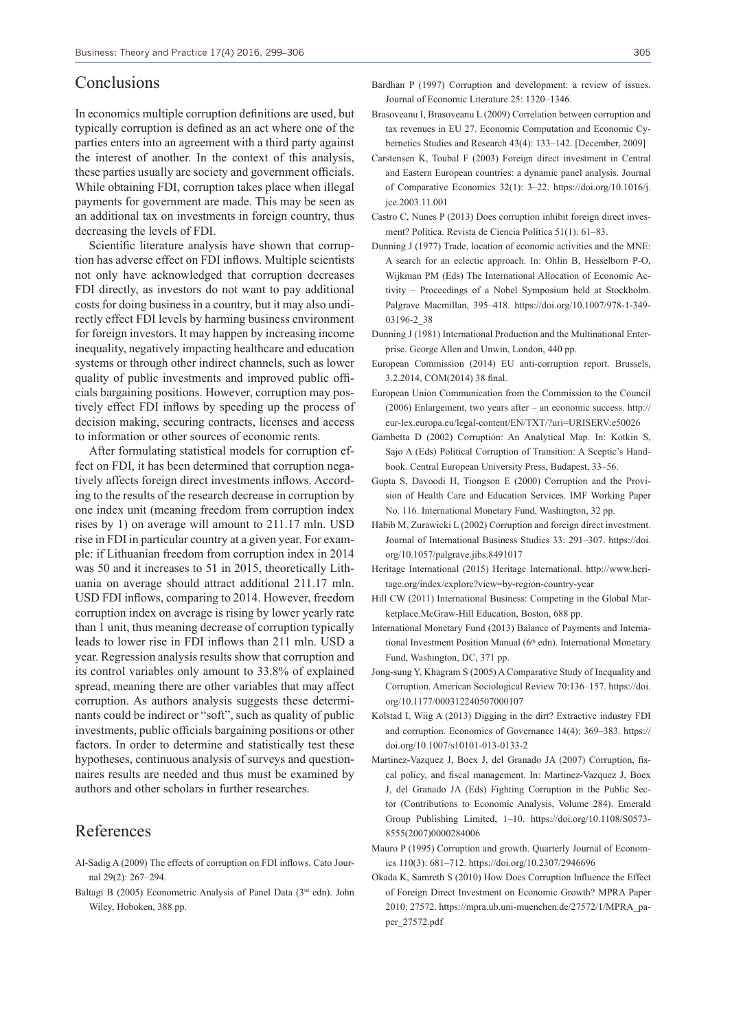### Conclusions

In economics multiple corruption definitions are used, but typically corruption is defined as an act where one of the parties enters into an agreement with a third party against the interest of another. In the context of this analysis, these parties usually are society and government officials. While obtaining FDI, corruption takes place when illegal payments for government are made. This may be seen as an additional tax on investments in foreign country, thus decreasing the levels of FDI.

Scientific literature analysis have shown that corruption has adverse effect on FDI inflows. Multiple scientists not only have acknowledged that corruption decreases FDI directly, as investors do not want to pay additional costs for doing business in a country, but it may also undirectly effect FDI levels by harming business environment for foreign investors. It may happen by increasing income inequality, negatively impacting healthcare and education systems or through other indirect channels, such as lower quality of public investments and improved public officials bargaining positions. However, corruption may postively effect FDI inflows by speeding up the process of decision making, securing contracts, licenses and access to information or other sources of economic rents.

After formulating statistical models for corruption effect on FDI, it has been determined that corruption negatively affects foreign direct investments inflows. According to the results of the research decrease in corruption by one index unit (meaning freedom from corruption index rises by 1) on average will amount to 211.17 mln. USD rise in FDI in particular country at a given year. For example: if Lithuanian freedom from corruption index in 2014 was 50 and it increases to 51 in 2015, theoretically Lithuania on average should attract additional 211.17 mln. USD FDI inflows, comparing to 2014. However, freedom corruption index on average is rising by lower yearly rate than 1 unit, thus meaning decrease of corruption typically leads to lower rise in FDI inflows than 211 mln. USD a year. Regression analysis results show that corruption and its control variables only amount to 33.8% of explained spread, meaning there are other variables that may affect corruption. As authors analysis suggests these determinants could be indirect or "soft", such as quality of public investments, public officials bargaining positions or other factors. In order to determine and statistically test these hypotheses, continuous analysis of surveys and questionnaires results are needed and thus must be examined by authors and other scholars in further researches.

### References

- Al-Sadig A (2009) The effects of corruption on FDI inflows. Cato Journal 29(2): 267–294.
- Baltagi B (2005) Econometric Analysis of Panel Data (3rd edn). John Wiley, Hoboken, 388 pp.
- Bardhan P (1997) Corruption and development: a review of issues. Journal of Economic Literature 25: 1320–1346.
- Brasoveanu I, Brasoveanu L (2009) Correlation between corruption and tax revenues in EU 27. Economic Computation and Economic Cybernetics Studies and Research 43(4): 133–142. [December, 2009]
- Carstensen K, Toubal F (2003) Foreign direct investment in Central and Eastern European countries: a dynamic panel analysis. Journal of Comparative Economics 32(1): 3–22. https://doi.org/10.1016/j. jce.2003.11.001
- Castro C, Nunes P (2013) Does corruption inhibit foreign direct invesment? Política. Revista de Ciencia Política 51(1): 61–83.
- Dunning J (1977) Trade, location of economic activities and the MNE: A search for an eclectic approach. In: Ohlin B, Hesselborn P-O, Wijkman PM (Eds) The International Allocation of Economic Activity – Proceedings of a Nobel Symposium held at Stockholm. Palgrave Macmillan, 395–418. https://doi.org/10.1007/978-1-349- 03196-2\_38
- Dunning J (1981) International Production and the Multinational Enterprise. George Allen and Unwin, London, 440 pp.
- European Commission (2014) EU anti-corruption report. Brussels, 3.2.2014, COM(2014) 38 final.
- European Union Communication from the Commission to the Council (2006) Enlargement, two years after – an economic success. http:// eur-lex.europa.eu/legal-content/EN/TXT/?uri=URISERV:e50026
- Gambetta D (2002) Corruption: An Analytical Map. In: Kotkin S, Sajo A (Eds) Political Corruption of Transition: A Sceptic's Handbook. Central European University Press, Budapest, 33–56.
- Gupta S, Davoodi H, Tiongson E (2000) Corruption and the Provision of Health Care and Education Services. IMF Working Paper No. 116. International Monetary Fund, Washington, 32 pp.
- Habib M, Zurawicki L (2002) Corruption and foreign direct investment. Journal of International Business Studies 33: 291–307. https://doi. org/10.1057/palgrave.jibs.8491017
- Heritage International (2015) Heritage International. http://www.heritage.org/index/explore?view=by-region-country-year
- Hill CW (2011) International Business: Competing in the Global Marketplace.McGraw-Hill Education, Boston, 688 pp.
- International Monetary Fund (2013) Balance of Payments and International Investment Position Manual (6<sup>th</sup> edn). International Monetary Fund, Washington, DC, 371 pp.
- Jong-sung Y, Khagram S (2005) A Comparative Study of Inequality and Corruption. American Sociological Review 70:136–157. https://doi. org/10.1177/000312240507000107
- Kolstad I, Wiig A (2013) Digging in the dirt? Extractive industry FDI and corruption. Economics of Governance 14(4): 369–383. https:// doi.org/10.1007/s10101-013-0133-2
- Martinez-Vazquez J, Boex J, del Granado JA (2007) Corruption, fiscal policy, and fiscal management. In: Martinez-Vazquez J, Boex J, del Granado JA (Eds) Fighting Corruption in the Public Sector (Contributions to Economic Analysis, Volume 284). Emerald Group Publishing Limited, 1–10. https://doi.org/10.1108/S0573- 8555(2007)0000284006
- Mauro P (1995) Corruption and growth. Quarterly Journal of Economics 110(3): 681–712. https://doi.org/10.2307/2946696
- Okada K, Samreth S (2010) How Does Corruption Influence the Effect of Foreign Direct Investment on Economic Growth? MPRA Paper 2010: 27572. https://mpra.ub.uni-muenchen.de/27572/1/MPRA\_paper\_27572.pdf